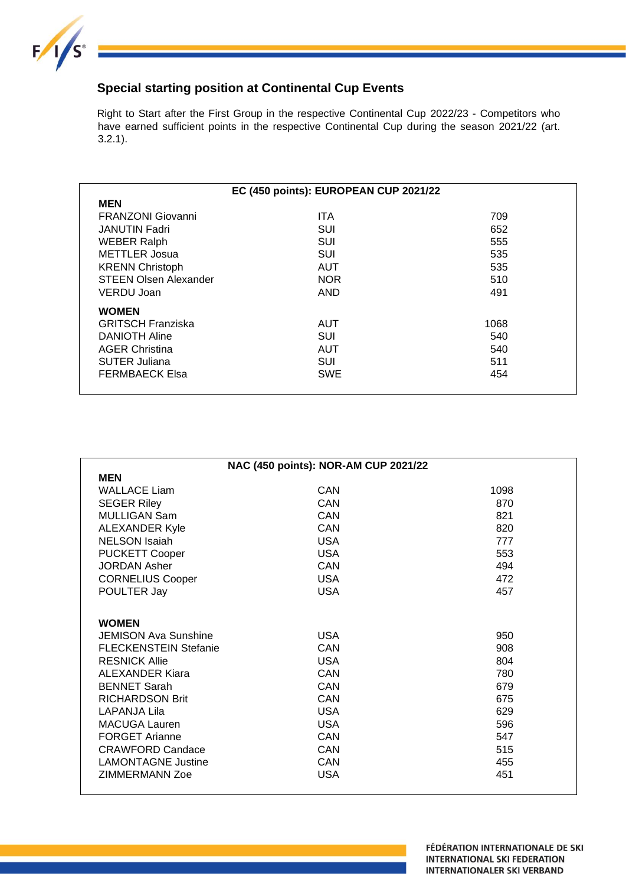

## **Special starting position at Continental Cup Events**

Right to Start after the First Group in the respective Continental Cup 2022/23 - Competitors who have earned sufficient points in the respective Continental Cup during the season 2021/22 (art. 3.2.1).

|                              | EC (450 points): EUROPEAN CUP 2021/22 |      |  |
|------------------------------|---------------------------------------|------|--|
| <b>MEN</b>                   |                                       |      |  |
| <b>FRANZONI Giovanni</b>     | <b>ITA</b>                            | 709  |  |
| <b>JANUTIN Fadri</b>         | SUI                                   | 652  |  |
| <b>WEBER Ralph</b>           | SUI                                   | 555  |  |
| <b>METTLER</b> Josua         | <b>SUI</b>                            | 535  |  |
| <b>KRENN Christoph</b>       | <b>AUT</b>                            | 535  |  |
| <b>STEEN Olsen Alexander</b> | <b>NOR</b>                            | 510  |  |
| VERDU Joan                   | <b>AND</b>                            | 491  |  |
| <b>WOMEN</b>                 |                                       |      |  |
| <b>GRITSCH Franziska</b>     | AUT                                   | 1068 |  |
| <b>DANIOTH Aline</b>         | <b>SUI</b>                            | 540  |  |
| <b>AGER Christina</b>        | AUT                                   | 540  |  |
| <b>SUTER Juliana</b>         | <b>SUI</b>                            | 511  |  |
| <b>FERMBAECK Elsa</b>        | <b>SWE</b>                            | 454  |  |
|                              |                                       |      |  |

| <b>MEN</b><br>CAN<br><b>WALLACE Liam</b><br>1098<br>CAN<br><b>SEGER Riley</b><br>870<br><b>MULLIGAN Sam</b><br>CAN<br>821<br><b>ALEXANDER Kyle</b><br>CAN<br>820 |  |
|------------------------------------------------------------------------------------------------------------------------------------------------------------------|--|
|                                                                                                                                                                  |  |
|                                                                                                                                                                  |  |
|                                                                                                                                                                  |  |
|                                                                                                                                                                  |  |
|                                                                                                                                                                  |  |
| <b>NELSON Isaiah</b><br><b>USA</b><br>777                                                                                                                        |  |
| <b>PUCKETT Cooper</b><br><b>USA</b><br>553                                                                                                                       |  |
| <b>JORDAN Asher</b><br>CAN<br>494                                                                                                                                |  |
| <b>USA</b><br><b>CORNELIUS Cooper</b><br>472                                                                                                                     |  |
| POULTER Jay<br><b>USA</b><br>457                                                                                                                                 |  |
|                                                                                                                                                                  |  |
| <b>WOMEN</b>                                                                                                                                                     |  |
| <b>USA</b><br>JEMISON Ava Sunshine<br>950                                                                                                                        |  |
| <b>FLECKENSTEIN Stefanie</b><br>CAN<br>908                                                                                                                       |  |
| <b>RESNICK Allie</b><br><b>USA</b><br>804                                                                                                                        |  |
| CAN<br>780<br><b>ALEXANDER Kiara</b>                                                                                                                             |  |
| <b>BENNET Sarah</b><br>CAN<br>679                                                                                                                                |  |
| <b>RICHARDSON Brit</b><br>CAN<br>675                                                                                                                             |  |
| <b>USA</b><br>629<br>LAPANJA Lila                                                                                                                                |  |
| MACUGA Lauren<br><b>USA</b><br>596                                                                                                                               |  |
| <b>FORGET Arianne</b><br>CAN<br>547                                                                                                                              |  |
| <b>CRAWFORD Candace</b><br>CAN<br>515                                                                                                                            |  |
| <b>LAMONTAGNE Justine</b><br>CAN<br>455                                                                                                                          |  |
| ZIMMERMANN Zoe<br><b>USA</b><br>451                                                                                                                              |  |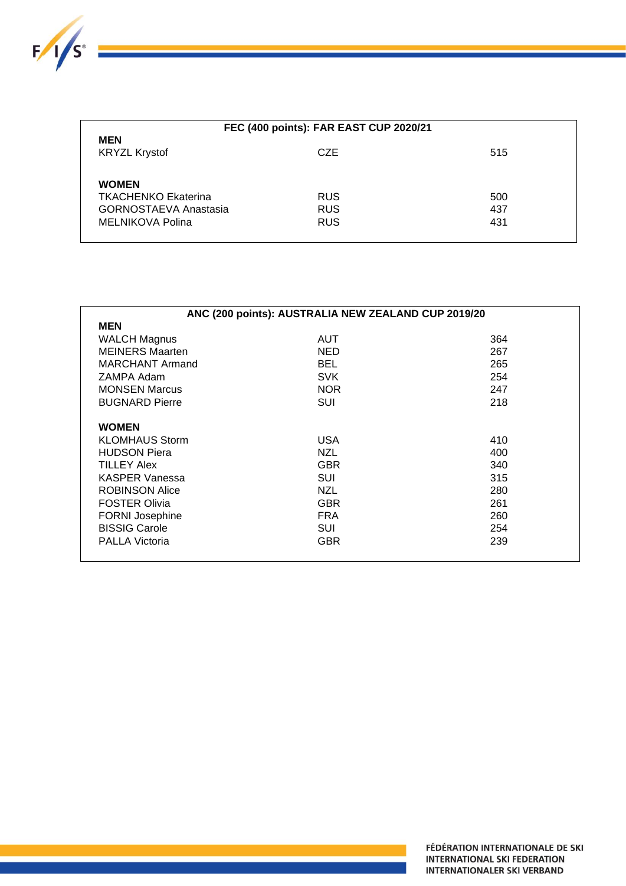

| FEC (400 points): FAR EAST CUP 2020/21                                                         |                                        |                   |  |
|------------------------------------------------------------------------------------------------|----------------------------------------|-------------------|--|
| <b>MEN</b><br><b>KRYZL Krystof</b>                                                             | CZE                                    | 515               |  |
| <b>WOMEN</b><br><b>TKACHENKO Ekaterina</b><br><b>GORNOSTAEVA Anastasia</b><br>MELNIKOVA Polina | <b>RUS</b><br><b>RUS</b><br><b>RUS</b> | 500<br>437<br>431 |  |

| ANC (200 points): AUSTRALIA NEW ZEALAND CUP 2019/20 |            |     |  |
|-----------------------------------------------------|------------|-----|--|
| <b>MEN</b>                                          |            |     |  |
| <b>WALCH Magnus</b>                                 | <b>AUT</b> | 364 |  |
| <b>MEINERS Maarten</b>                              | <b>NED</b> | 267 |  |
| <b>MARCHANT Armand</b>                              | <b>BEL</b> | 265 |  |
| ZAMPA Adam                                          | <b>SVK</b> | 254 |  |
| <b>MONSEN Marcus</b>                                | <b>NOR</b> | 247 |  |
| <b>BUGNARD Pierre</b>                               | SUI        | 218 |  |
|                                                     |            |     |  |
| <b>WOMEN</b>                                        |            |     |  |
| <b>KLOMHAUS Storm</b>                               | <b>USA</b> | 410 |  |
| <b>HUDSON Piera</b>                                 | <b>NZL</b> | 400 |  |
| <b>TILLEY Alex</b>                                  | <b>GBR</b> | 340 |  |
| <b>KASPER Vanessa</b>                               | SUI        | 315 |  |
| <b>ROBINSON Alice</b>                               | <b>NZL</b> | 280 |  |
| <b>FOSTER Olivia</b>                                | <b>GBR</b> | 261 |  |
| <b>FORNI Josephine</b>                              | <b>FRA</b> | 260 |  |
| <b>BISSIG Carole</b>                                | SUI        | 254 |  |
| <b>PALLA Victoria</b>                               | <b>GBR</b> | 239 |  |
|                                                     |            |     |  |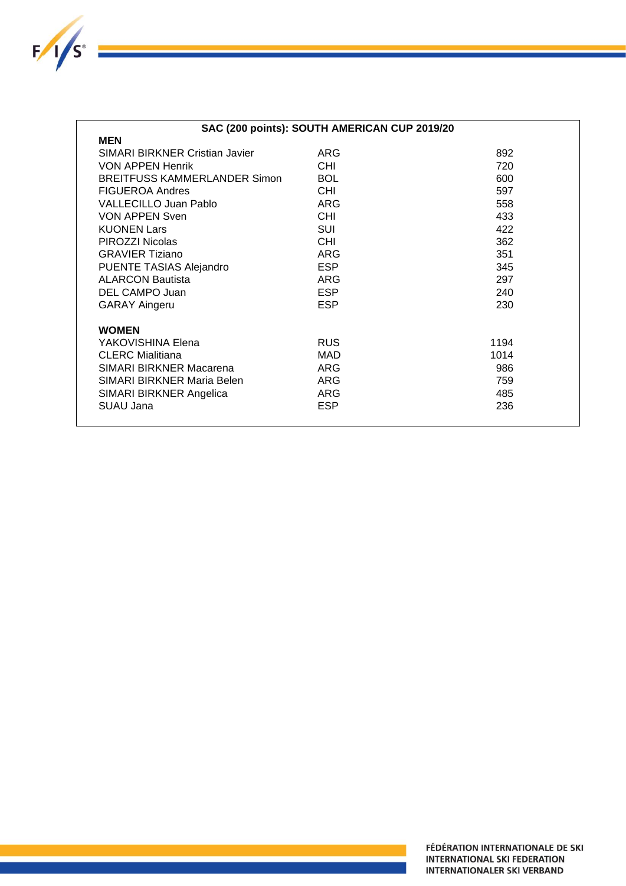

| SAC (200 points): SOUTH AMERICAN CUP 2019/20 |            |      |  |  |
|----------------------------------------------|------------|------|--|--|
| <b>MEN</b>                                   |            |      |  |  |
| SIMARI BIRKNER Cristian Javier               | <b>ARG</b> | 892  |  |  |
| <b>VON APPEN Henrik</b>                      | <b>CHI</b> | 720  |  |  |
| <b>BREITFUSS KAMMERLANDER Simon</b>          | <b>BOL</b> | 600  |  |  |
| <b>FIGUEROA Andres</b>                       | CHI.       | 597  |  |  |
| <b>VALLECILLO Juan Pablo</b>                 | <b>ARG</b> | 558  |  |  |
| <b>VON APPEN Sven</b>                        | CHI.       | 433  |  |  |
| <b>KUONEN Lars</b>                           | <b>SUI</b> | 422  |  |  |
| PIROZZI Nicolas                              | <b>CHI</b> | 362  |  |  |
| <b>GRAVIER Tiziano</b>                       | <b>ARG</b> | 351  |  |  |
| PUENTE TASIAS Alejandro                      | <b>ESP</b> | 345  |  |  |
| <b>ALARCON Bautista</b>                      | <b>ARG</b> | 297  |  |  |
| DEL CAMPO Juan                               | <b>ESP</b> | 240  |  |  |
| <b>GARAY Aingeru</b>                         | <b>ESP</b> | 230  |  |  |
| <b>WOMEN</b>                                 |            |      |  |  |
| YAKOVISHINA Elena                            | <b>RUS</b> | 1194 |  |  |
| <b>CLERC Mialitiana</b>                      | <b>MAD</b> | 1014 |  |  |
| SIMARI BIRKNER Macarena                      | <b>ARG</b> | 986  |  |  |
| SIMARI BIRKNER Maria Belen                   | <b>ARG</b> | 759  |  |  |
| SIMARI BIRKNER Angelica                      | <b>ARG</b> | 485  |  |  |
| SUAU Jana                                    | <b>ESP</b> | 236  |  |  |
|                                              |            |      |  |  |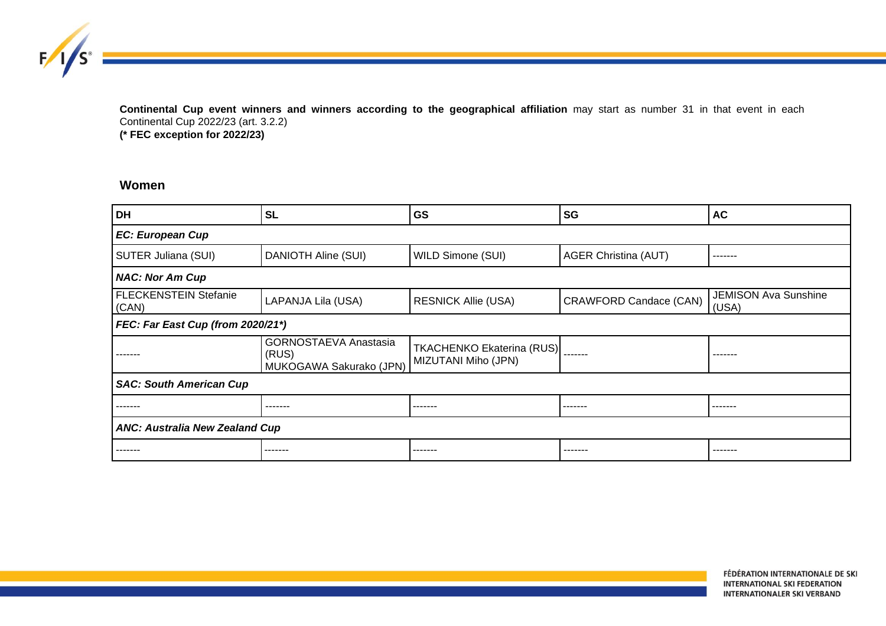**Continental Cup event winners and winners according to the geographical affiliation** may start as number 31 in that event in each Continental Cup 2022/23 (art. 3.2.2) **(\* FEC exception for 2022/23)**

## **Women**

 $F/I/S^{\circ}$ 

| <b>DH</b>                             | <b>SL</b>                                                        | GS                                                      | SG                          | <b>AC</b>                            |
|---------------------------------------|------------------------------------------------------------------|---------------------------------------------------------|-----------------------------|--------------------------------------|
| <b>EC: European Cup</b>               |                                                                  |                                                         |                             |                                      |
| SUTER Juliana (SUI)                   | DANIOTH Aline (SUI)                                              | <b>WILD Simone (SUI)</b>                                | <b>AGER Christina (AUT)</b> | -------                              |
| <b>NAC: Nor Am Cup</b>                |                                                                  |                                                         |                             |                                      |
| FLECKENSTEIN Stefanie<br>(CAN)        | LAPANJA Lila (USA)                                               | <b>RESNICK Allie (USA)</b>                              | CRAWFORD Candace (CAN)      | <b>JEMISON Ava Sunshine</b><br>(USA) |
| FEC: Far East Cup (from 2020/21*)     |                                                                  |                                                         |                             |                                      |
| ------                                | <b>GORNOSTAEVA Anastasia</b><br>(RUS)<br>MUKOGAWA Sakurako (JPN) | <b>TKACHENKO Ekaterina (RUS)</b><br>MIZUTANI Miho (JPN) | $- - - - - - -$             |                                      |
| <b>SAC: South American Cup</b>        |                                                                  |                                                         |                             |                                      |
|                                       | -------                                                          | -------                                                 | -------                     | .                                    |
| <b>ANC: Australia New Zealand Cup</b> |                                                                  |                                                         |                             |                                      |
| ------                                | -------                                                          | -------                                                 | -------                     | ------                               |

FÉDÉRATION INTERNATIONALE DE SKI **INTERNATIONAL SKI FEDERATION INTERNATIONALER SKI VERBAND**